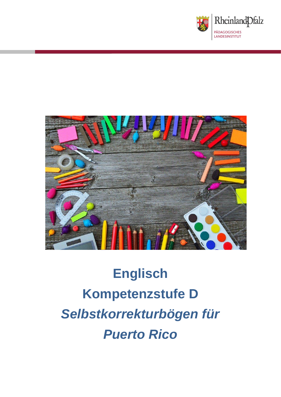



# **Englisch Kompetenzstufe D** *Selbstkorrekturbögen für Puerto Rico*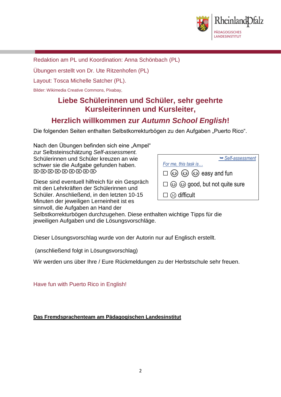

Redaktion am PL und Koordination: Anna Schönbach (PL)

Übungen erstellt von Dr. Ute Ritzenhofen (PL)

Layout: Tosca Michelle Satcher (PL).

Bilder: Wikimedia Creative Commons, Pixabay,

# **Liebe Schülerinnen und Schüler, sehr geehrte Kursleiterinnen und Kursleiter,**

# **Herzlich willkommen zur** *Autumn School English***!**

Die folgenden Seiten enthalten Selbstkorrekturbögen zu den Aufgaben "Puerto Rico".

Nach den Übungen befinden sich eine "Ampel" zur Selbsteinschätzung *Self-assessment.* Schülerinnen und Schüler kreuzen an wie schwer sie die Aufgabe gefunden haben. **BBBBBBBBB** 

Diese sind eventuell hilfreich für ein Gespräch mit den Lehrkräften der Schülerinnen und Schüler. Anschließend, in den letzten 10-15 Minuten der jeweiligen Lerneinheit ist es sinnvoll, die Aufgaben an Hand der

| Self-assessment                                        |  |  |
|--------------------------------------------------------|--|--|
| For me, this task is                                   |  |  |
| $\square$ $\odot$ $\odot$ $\odot$ $\odot$ easy and fun |  |  |
| $\square$ $\odot$ $\odot$ good, but not quite sure     |  |  |
| $\square \otimes$ difficult                            |  |  |

Selbstkorrekturbögen durchzugehen. Diese enthalten wichtige Tipps für die jeweiligen Aufgaben und die Lösungsvorschläge.

Dieser Lösungsvorschlag wurde von der Autorin nur auf Englisch erstellt.

(anschließend folgt in Lösungsvorschlag)

Wir werden uns über Ihre / Eure Rückmeldungen zu der Herbstschule sehr freuen.

Have fun with Puerto Rico in English!

**Das Fremdsprachenteam am Pädagogischen Landesinstitut**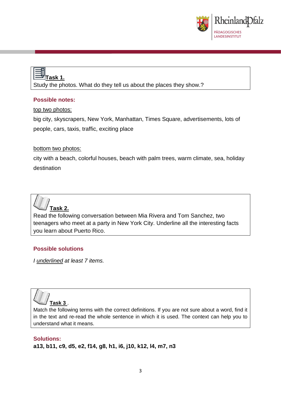

# **Task 1.**

Study the photos. What do they tell us about the places they show.?

#### **Possible notes:**

top two photos:

big city, skyscrapers, New York, Manhattan, Times Square, advertisements, lots of people, cars, taxis, traffic, exciting place

#### bottom two photos:

city with a beach, colorful houses, beach with palm trees, warm climate, sea, holiday destination



Read the following conversation between Mia Rivera and Tom Sanchez, two teenagers who meet at a party in New York City. Underline all the interesting facts you learn about Puerto Rico.

#### **Possible solutions**

*I underlined at least 7 items.*



Match the following terms with the correct definitions. If you are not sure about a word, find it in the text and re-read the whole sentence in which it is used. The context can help you to understand what it means.

#### **Solutions: a13, b11, c9, d5, e2, f14, g8, h1, i6, j10, k12, l4, m7, n3**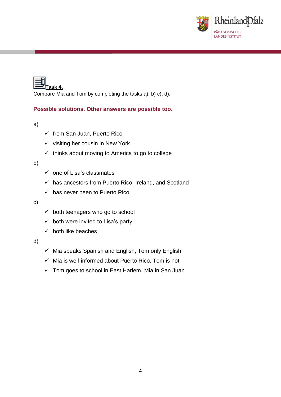

# **Task 4.** Compare Mia and Tom by completing the tasks a), b) c), d).

#### **Possible solutions. Other answers are possible too.**

a)

- ✓ from San Juan, Puerto Rico
- $\checkmark$  visiting her cousin in New York
- $\checkmark$  thinks about moving to America to go to college

#### b)

- $\checkmark$  one of Lisa's classmates
- $\checkmark$  has ancestors from Puerto Rico, Ireland, and Scotland
- $\checkmark$  has never been to Puerto Rico

#### c)

- $\checkmark$  both teenagers who go to school
- $\checkmark$  both were invited to Lisa's party
- $\checkmark$  both like beaches

#### d)

- $\checkmark$  Mia speaks Spanish and English, Tom only English
- $\checkmark$  Mia is well-informed about Puerto Rico, Tom is not
- $\checkmark$  Tom goes to school in East Harlem, Mia in San Juan